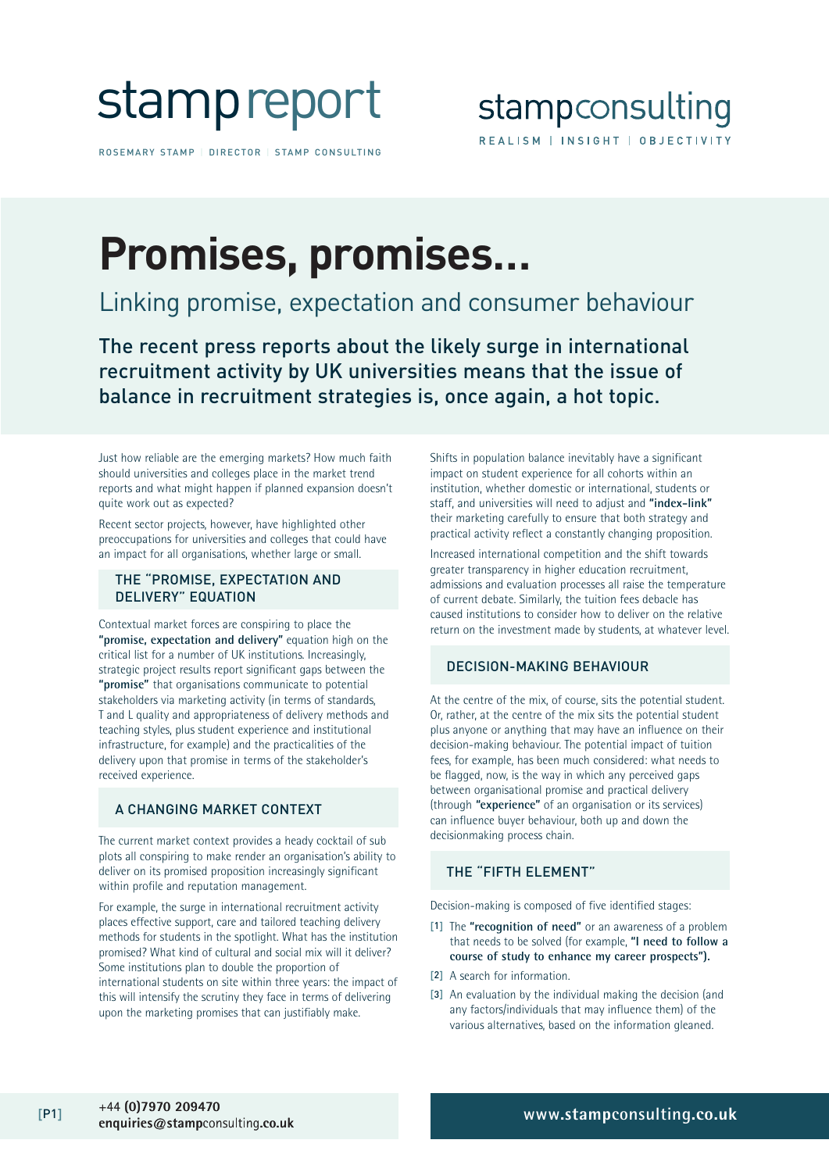

ROSEMARY STAMP | DIRECTOR | STAMP CONSULTING

## **Promises, promises…**

### Linking promise, expectation and consumer behaviour

The recent press reports about the likely surge in international recruitment activity by UK universities means that the issue of balance in recruitment strategies is, once again, a hot topic.

Just how reliable are the emerging markets? How much faith should universities and colleges place in the market trend reports and what might happen if planned expansion doesn't quite work out as expected?

Recent sector projects, however, have highlighted other preoccupations for universities and colleges that could have an impact for all organisations, whether large or small.

#### THE "PROMISE, EXPECTATION AND DELIVERY" EQUATION

Contextual market forces are conspiring to place the **"promise, expectation and delivery"** equation high on the critical list for a number of UK institutions. Increasingly, strategic project results report significant gaps between the **"promise"** that organisations communicate to potential stakeholders via marketing activity (in terms of standards, T and L quality and appropriateness of delivery methods and teaching styles, plus student experience and institutional infrastructure, for example) and the practicalities of the delivery upon that promise in terms of the stakeholder's received experience.

#### A CHANGING MARKET CONTEXT

The current market context provides a heady cocktail of sub plots all conspiring to make render an organisation's ability to deliver on its promised proposition increasingly significant within profile and reputation management.

For example, the surge in international recruitment activity places effective support, care and tailored teaching delivery methods for students in the spotlight. What has the institution promised? What kind of cultural and social mix will it deliver? Some institutions plan to double the proportion of international students on site within three years: the impact of this will intensify the scrutiny they face in terms of delivering upon the marketing promises that can justifiably make.

Shifts in population balance inevitably have a significant impact on student experience for all cohorts within an institution, whether domestic or international, students or staff, and universities will need to adjust and **"index-link"** their marketing carefully to ensure that both strategy and practical activity reflect a constantly changing proposition.

Increased international competition and the shift towards greater transparency in higher education recruitment, admissions and evaluation processes all raise the temperature of current debate. Similarly, the tuition fees debacle has caused institutions to consider how to deliver on the relative return on the investment made by students, at whatever level.

#### DECISION-MAKING BEHAVIOUR

At the centre of the mix, of course, sits the potential student. Or, rather, at the centre of the mix sits the potential student plus anyone or anything that may have an influence on their decision-making behaviour. The potential impact of tuition fees, for example, has been much considered: what needs to be flagged, now, is the way in which any perceived gaps between organisational promise and practical delivery (through **"experience"** of an organisation or its services) can influence buyer behaviour, both up and down the decisionmaking process chain.

#### THE "FIFTH ELEMENT"

Decision-making is composed of five identified stages:

- [1] The **"recognition of need"** or an awareness of a problem that needs to be solved (for example, **"I need to follow a course of study to enhance my career prospects").**
- [2] A search for information.
- [3] An evaluation by the individual making the decision (and any factors/individuals that may influence them) of the various alternatives, based on the information gleaned.